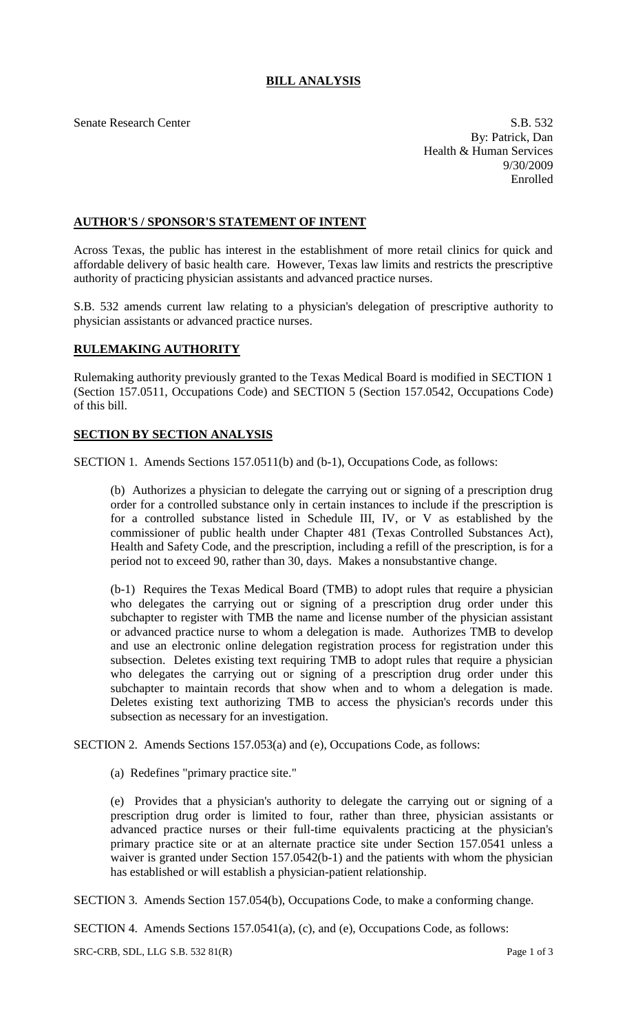## **BILL ANALYSIS**

Senate Research Center S.B. 532 By: Patrick, Dan Health & Human Services 9/30/2009 Enrolled

## **AUTHOR'S / SPONSOR'S STATEMENT OF INTENT**

Across Texas, the public has interest in the establishment of more retail clinics for quick and affordable delivery of basic health care. However, Texas law limits and restricts the prescriptive authority of practicing physician assistants and advanced practice nurses.

S.B. 532 amends current law relating to a physician's delegation of prescriptive authority to physician assistants or advanced practice nurses.

## **RULEMAKING AUTHORITY**

Rulemaking authority previously granted to the Texas Medical Board is modified in SECTION 1 (Section 157.0511, Occupations Code) and SECTION 5 (Section 157.0542, Occupations Code) of this bill.

## **SECTION BY SECTION ANALYSIS**

SECTION 1. Amends Sections 157.0511(b) and (b-1), Occupations Code, as follows:

(b) Authorizes a physician to delegate the carrying out or signing of a prescription drug order for a controlled substance only in certain instances to include if the prescription is for a controlled substance listed in Schedule III, IV, or V as established by the commissioner of public health under Chapter 481 (Texas Controlled Substances Act), Health and Safety Code, and the prescription, including a refill of the prescription, is for a period not to exceed 90, rather than 30, days. Makes a nonsubstantive change.

(b-1) Requires the Texas Medical Board (TMB) to adopt rules that require a physician who delegates the carrying out or signing of a prescription drug order under this subchapter to register with TMB the name and license number of the physician assistant or advanced practice nurse to whom a delegation is made. Authorizes TMB to develop and use an electronic online delegation registration process for registration under this subsection. Deletes existing text requiring TMB to adopt rules that require a physician who delegates the carrying out or signing of a prescription drug order under this subchapter to maintain records that show when and to whom a delegation is made. Deletes existing text authorizing TMB to access the physician's records under this subsection as necessary for an investigation.

SECTION 2. Amends Sections 157.053(a) and (e), Occupations Code, as follows:

(a) Redefines "primary practice site."

(e) Provides that a physician's authority to delegate the carrying out or signing of a prescription drug order is limited to four, rather than three, physician assistants or advanced practice nurses or their full-time equivalents practicing at the physician's primary practice site or at an alternate practice site under Section 157.0541 unless a waiver is granted under Section 157.0542(b-1) and the patients with whom the physician has established or will establish a physician-patient relationship.

SECTION 3. Amends Section 157.054(b), Occupations Code, to make a conforming change.

SECTION 4. Amends Sections 157.0541(a), (c), and (e), Occupations Code, as follows:

SRC-CRB, SDL, LLG S.B. 532 81(R) Page 1 of 3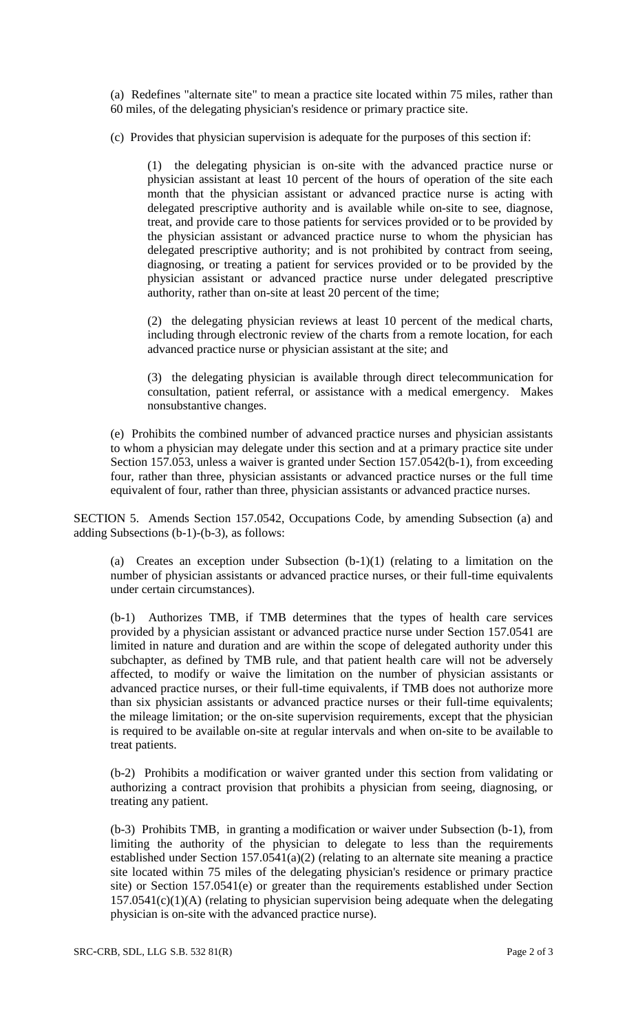(a) Redefines "alternate site" to mean a practice site located within 75 miles, rather than 60 miles, of the delegating physician's residence or primary practice site.

(c) Provides that physician supervision is adequate for the purposes of this section if:

(1) the delegating physician is on-site with the advanced practice nurse or physician assistant at least 10 percent of the hours of operation of the site each month that the physician assistant or advanced practice nurse is acting with delegated prescriptive authority and is available while on-site to see, diagnose, treat, and provide care to those patients for services provided or to be provided by the physician assistant or advanced practice nurse to whom the physician has delegated prescriptive authority; and is not prohibited by contract from seeing, diagnosing, or treating a patient for services provided or to be provided by the physician assistant or advanced practice nurse under delegated prescriptive authority, rather than on-site at least 20 percent of the time;

(2) the delegating physician reviews at least 10 percent of the medical charts, including through electronic review of the charts from a remote location, for each advanced practice nurse or physician assistant at the site; and

(3) the delegating physician is available through direct telecommunication for consultation, patient referral, or assistance with a medical emergency. Makes nonsubstantive changes.

(e) Prohibits the combined number of advanced practice nurses and physician assistants to whom a physician may delegate under this section and at a primary practice site under Section 157.053, unless a waiver is granted under Section 157.0542(b-1), from exceeding four, rather than three, physician assistants or advanced practice nurses or the full time equivalent of four, rather than three, physician assistants or advanced practice nurses.

SECTION 5. Amends Section 157.0542, Occupations Code, by amending Subsection (a) and adding Subsections (b-1)-(b-3), as follows:

(a) Creates an exception under Subsection (b-1)(1) (relating to a limitation on the number of physician assistants or advanced practice nurses, or their full-time equivalents under certain circumstances).

(b-1) Authorizes TMB, if TMB determines that the types of health care services provided by a physician assistant or advanced practice nurse under Section 157.0541 are limited in nature and duration and are within the scope of delegated authority under this subchapter, as defined by TMB rule, and that patient health care will not be adversely affected, to modify or waive the limitation on the number of physician assistants or advanced practice nurses, or their full-time equivalents, if TMB does not authorize more than six physician assistants or advanced practice nurses or their full-time equivalents; the mileage limitation; or the on-site supervision requirements, except that the physician is required to be available on-site at regular intervals and when on-site to be available to treat patients.

(b-2) Prohibits a modification or waiver granted under this section from validating or authorizing a contract provision that prohibits a physician from seeing, diagnosing, or treating any patient.

(b-3) Prohibits TMB, in granting a modification or waiver under Subsection (b-1), from limiting the authority of the physician to delegate to less than the requirements established under Section 157.0541(a)(2) (relating to an alternate site meaning a practice site located within 75 miles of the delegating physician's residence or primary practice site) or Section 157.0541(e) or greater than the requirements established under Section  $157.0541(c)(1)(A)$  (relating to physician supervision being adequate when the delegating physician is on-site with the advanced practice nurse).